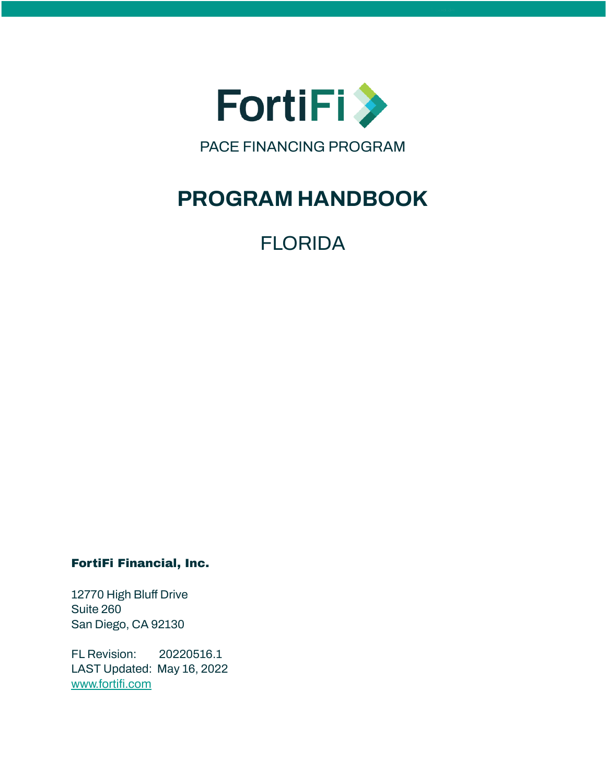

# **PROGRAM HANDBOOK**

FLORIDA

FortiFi Financial, Inc.

12770 High Bluff Drive Suite 260 San Diego, CA 92130

FL Revision: 20220516.1 LAST Updated: May 16, 2022 [www.fortifi.com](http://www.fortifi.com)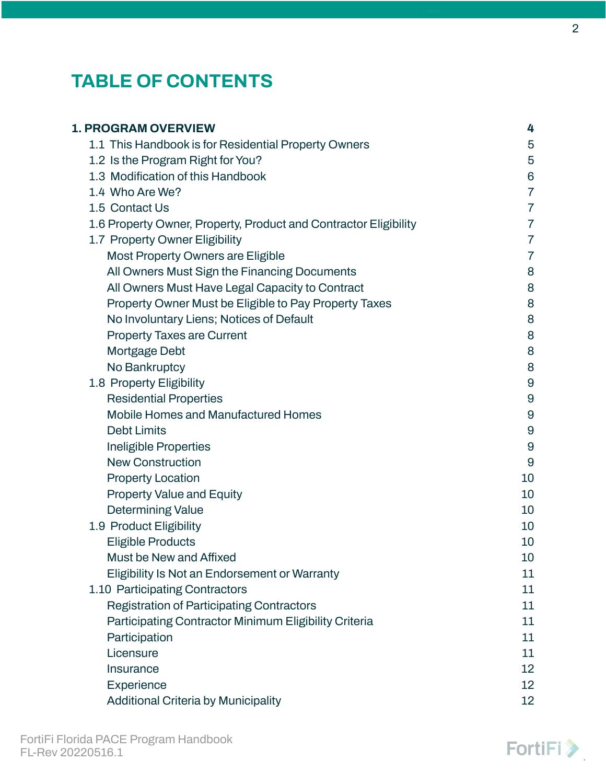# **TABLE OF CONTENTS**

| <b>1. PROGRAM OVERVIEW</b>                                       | 4                |
|------------------------------------------------------------------|------------------|
| 1.1 This Handbook is for Residential Property Owners             | 5                |
| 1.2 Is the Program Right for You?                                | 5                |
| 1.3 Modification of this Handbook                                | $6\,$            |
| 1.4 Who Are We?                                                  | $\overline{7}$   |
| 1.5 Contact Us                                                   | $\overline{7}$   |
| 1.6 Property Owner, Property, Product and Contractor Eligibility | $\overline{7}$   |
| 1.7 Property Owner Eligibility                                   | $\overline{7}$   |
| Most Property Owners are Eligible                                | 7                |
| All Owners Must Sign the Financing Documents                     | 8                |
| All Owners Must Have Legal Capacity to Contract                  | 8                |
| Property Owner Must be Eligible to Pay Property Taxes            | 8                |
| No Involuntary Liens; Notices of Default                         | 8                |
| <b>Property Taxes are Current</b>                                | 8                |
| <b>Mortgage Debt</b>                                             | 8                |
| No Bankruptcy                                                    | 8                |
| 1.8 Property Eligibility                                         | $\overline{9}$   |
| <b>Residential Properties</b>                                    | 9                |
| <b>Mobile Homes and Manufactured Homes</b>                       | $\boldsymbol{9}$ |
| <b>Debt Limits</b>                                               | $\overline{9}$   |
| Ineligible Properties                                            | 9                |
| <b>New Construction</b>                                          | $\overline{9}$   |
| <b>Property Location</b>                                         | 10               |
| <b>Property Value and Equity</b>                                 | 10               |
| <b>Determining Value</b>                                         | 10               |
| 1.9 Product Eligibility                                          | 10               |
| <b>Eligible Products</b>                                         | 10               |
| Must be New and Affixed                                          | 10               |
| Eligibility Is Not an Endorsement or Warranty                    | 11               |
| 1.10 Participating Contractors                                   | 11               |
| <b>Registration of Participating Contractors</b>                 | 11               |
| Participating Contractor Minimum Eligibility Criteria            | 11               |
| Participation                                                    | 11               |
| Licensure                                                        | 11               |
| Insurance                                                        | 12               |
| Experience                                                       | 12               |
| <b>Additional Criteria by Municipality</b>                       | 12               |

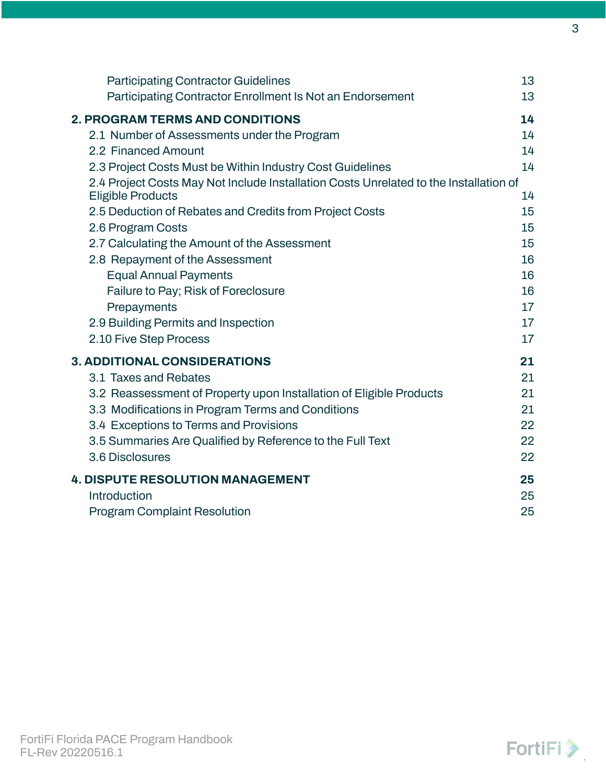| <b>Participating Contractor Guidelines</b>                                                                                                                                                                                                                                                                                                                                                                                                                                                                                                                                                                               | 13                                                                               |
|--------------------------------------------------------------------------------------------------------------------------------------------------------------------------------------------------------------------------------------------------------------------------------------------------------------------------------------------------------------------------------------------------------------------------------------------------------------------------------------------------------------------------------------------------------------------------------------------------------------------------|----------------------------------------------------------------------------------|
| Participating Contractor Enrollment Is Not an Endorsement                                                                                                                                                                                                                                                                                                                                                                                                                                                                                                                                                                | 13                                                                               |
| <b>2. PROGRAM TERMS AND CONDITIONS</b><br>2.1 Number of Assessments under the Program<br>2.2 Financed Amount<br>2.3 Project Costs Must be Within Industry Cost Guidelines<br>2.4 Project Costs May Not Include Installation Costs Unrelated to the Installation of<br><b>Eligible Products</b><br>2.5 Deduction of Rebates and Credits from Project Costs<br>2.6 Program Costs<br>2.7 Calculating the Amount of the Assessment<br>2.8 Repayment of the Assessment<br><b>Equal Annual Payments</b><br>Failure to Pay; Risk of Foreclosure<br>Prepayments<br>2.9 Building Permits and Inspection<br>2.10 Five Step Process | 14<br>14<br>14<br>14<br>14<br>15<br>15<br>15<br>16<br>16<br>16<br>17<br>17<br>17 |
| <b>3. ADDITIONAL CONSIDERATIONS</b>                                                                                                                                                                                                                                                                                                                                                                                                                                                                                                                                                                                      | 21                                                                               |
| 3.1 Taxes and Rebates                                                                                                                                                                                                                                                                                                                                                                                                                                                                                                                                                                                                    | 21                                                                               |
| 3.2 Reassessment of Property upon Installation of Eligible Products                                                                                                                                                                                                                                                                                                                                                                                                                                                                                                                                                      | 21                                                                               |
| 3.3 Modifications in Program Terms and Conditions                                                                                                                                                                                                                                                                                                                                                                                                                                                                                                                                                                        | 21                                                                               |
| 3.4 Exceptions to Terms and Provisions                                                                                                                                                                                                                                                                                                                                                                                                                                                                                                                                                                                   | 22                                                                               |
| 3.5 Summaries Are Qualified by Reference to the Full Text                                                                                                                                                                                                                                                                                                                                                                                                                                                                                                                                                                | 22                                                                               |
| 3.6 Disclosures                                                                                                                                                                                                                                                                                                                                                                                                                                                                                                                                                                                                          | 22                                                                               |
| <b>4. DISPUTE RESOLUTION MANAGEMENT</b>                                                                                                                                                                                                                                                                                                                                                                                                                                                                                                                                                                                  | 25                                                                               |
| Introduction                                                                                                                                                                                                                                                                                                                                                                                                                                                                                                                                                                                                             | 25                                                                               |
| <b>Program Complaint Resolution</b>                                                                                                                                                                                                                                                                                                                                                                                                                                                                                                                                                                                      | 25                                                                               |

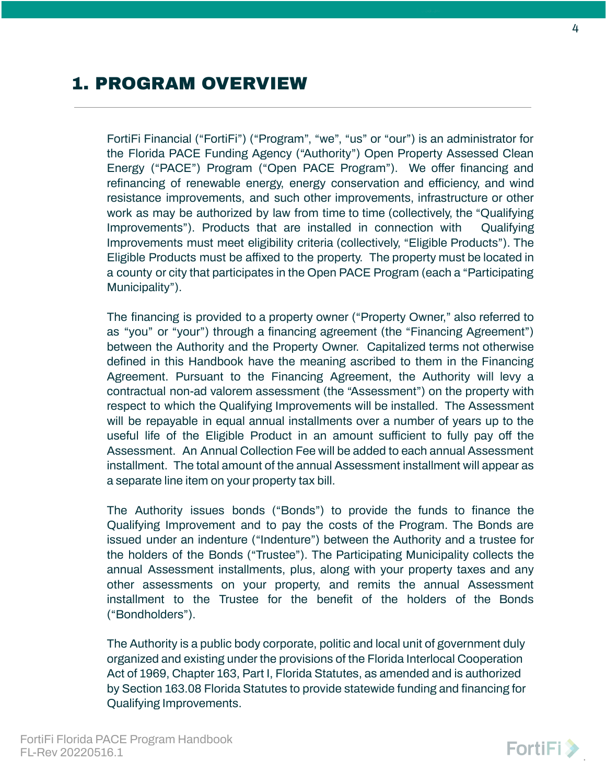# <span id="page-3-0"></span>1. PROGRAM OVERVIEW

FortiFi Financial ("FortiFi") ("Program", "we", "us" or "our") is an administrator for the Florida PACE Funding Agency ("Authority") Open Property Assessed Clean Energy ("PACE") Program ("Open PACE Program"). We offer financing and refinancing of renewable energy, energy conservation and efficiency, and wind resistance improvements, and such other improvements, infrastructure or other work as may be authorized by law from time to time (collectively, the "Qualifying Improvements"). Products that are installed in connection with Qualifying Improvements must meet eligibility criteria (collectively, "Eligible Products"). The Eligible Products must be affixed to the property. The property must be located in a county or city that participates in the Open PACE Program (each a "Participating Municipality").

The financing is provided to a property owner ("Property Owner," also referred to as "you" or "your") through a financing agreement (the "Financing Agreement") between the Authority and the Property Owner. Capitalized terms not otherwise defined in this Handbook have the meaning ascribed to them in the Financing Agreement. Pursuant to the Financing Agreement, the Authority will levy a contractual non-ad valorem assessment (the "Assessment") on the property with respect to which the Qualifying Improvements will be installed. The Assessment will be repayable in equal annual installments over a number of years up to the useful life of the Eligible Product in an amount sufficient to fully pay off the Assessment. An Annual Collection Fee will be added to each annual Assessment installment. The total amount of the annual Assessment installment will appear as a separate line item on your property tax bill.

The Authority issues bonds ("Bonds") to provide the funds to finance the Qualifying Improvement and to pay the costs of the Program. The Bonds are issued under an indenture ("Indenture") between the Authority and a trustee for the holders of the Bonds ("Trustee"). The Participating Municipality collects the annual Assessment installments, plus, along with your property taxes and any other assessments on your property, and remits the annual Assessment installment to the Trustee for the benefit of the holders of the Bonds ("Bondholders").

The Authority is a public body corporate, politic and local unit of government duly organized and existing under the provisions of the Florida Interlocal Cooperation Act of 1969, Chapter 163, Part I, Florida Statutes, as amended and is authorized by Section 163.08 Florida Statutes to provide statewide funding and financing for Qualifying Improvements.

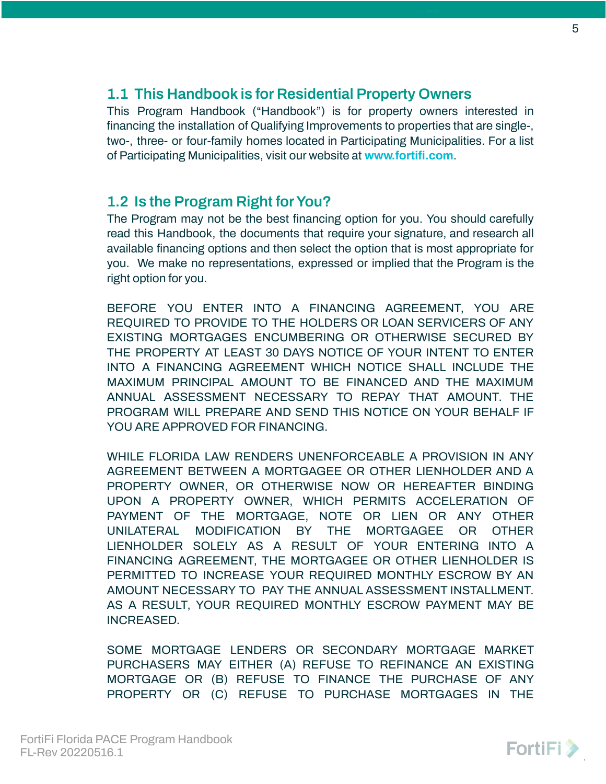### <span id="page-4-0"></span>**1.1 This Handbook is for Residential Property Owners**

This Program Handbook ("Handbook") is for property owners interested in financing the installation of Qualifying Improvements to properties that are single-, two-, three- or four-family homes located in Participating Municipalities. For a list of Participating Municipalities, visit our website at **[www.fortifi.com](http://www.fortifi.com)**.

### <span id="page-4-1"></span>**1.2 Is the Program Right forYou?**

The Program may not be the best financing option for you. You should carefully read this Handbook, the documents that require your signature, and research all available financing options and then select the option that is most appropriate for you. We make no representations, expressed or implied that the Program is the right option for you.

BEFORE YOU ENTER INTO A FINANCING AGREEMENT, YOU ARE REQUIRED TO PROVIDE TO THE HOLDERS OR LOAN SERVICERS OF ANY EXISTING MORTGAGES ENCUMBERING OR OTHERWISE SECURED BY THE PROPERTY AT LEAST 30 DAYS NOTICE OF YOUR INTENT TO ENTER INTO A FINANCING AGREEMENT WHICH NOTICE SHALL INCLUDE THE MAXIMUM PRINCIPAL AMOUNT TO BE FINANCED AND THE MAXIMUM ANNUAL ASSESSMENT NECESSARY TO REPAY THAT AMOUNT. THE PROGRAM WILL PREPARE AND SEND THIS NOTICE ON YOUR BEHALF IF YOU ARE APPROVED FOR FINANCING.

WHILE FLORIDA LAW RENDERS UNENFORCEABLE A PROVISION IN ANY AGREEMENT BETWEEN A MORTGAGEE OR OTHER LIENHOLDER AND A PROPERTY OWNER, OR OTHERWISE NOW OR HEREAFTER BINDING UPON A PROPERTY OWNER, WHICH PERMITS ACCELERATION OF PAYMENT OF THE MORTGAGE, NOTE OR LIEN OR ANY OTHER UNILATERAL MODIFICATION BY THE MORTGAGEE OR OTHER LIENHOLDER SOLELY AS A RESULT OF YOUR ENTERING INTO A FINANCING AGREEMENT, THE MORTGAGEE OR OTHER LIENHOLDER IS PERMITTED TO INCREASE YOUR REQUIRED MONTHLY ESCROW BY AN AMOUNT NECESSARY TO PAY THE ANNUAL ASSESSMENT INSTALLMENT. AS A RESULT, YOUR REQUIRED MONTHLY ESCROW PAYMENT MAY BE INCREASED.

SOME MORTGAGE LENDERS OR SECONDARY MORTGAGE MARKET PURCHASERS MAY EITHER (A) REFUSE TO REFINANCE AN EXISTING MORTGAGE OR (B) REFUSE TO FINANCE THE PURCHASE OF ANY PROPERTY OR (C) REFUSE TO PURCHASE MORTGAGES IN THE

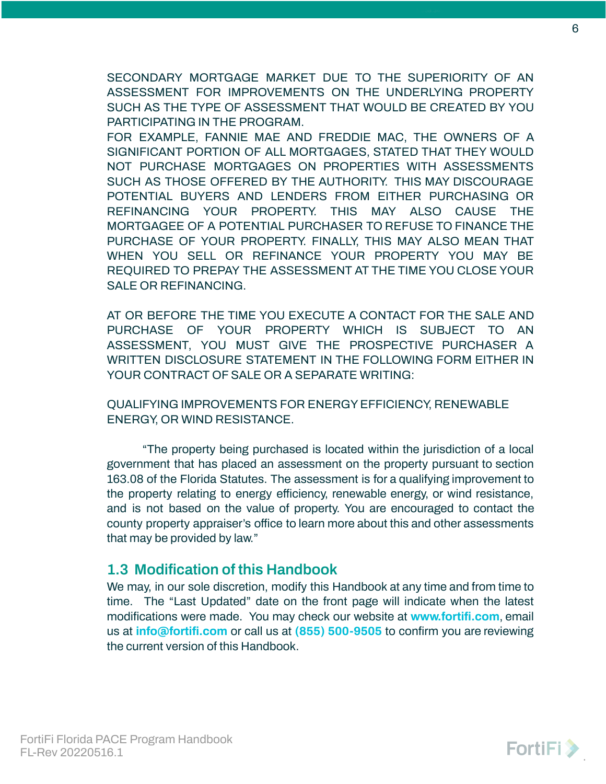SECONDARY MORTGAGE MARKET DUE TO THE SUPERIORITY OF AN ASSESSMENT FOR IMPROVEMENTS ON THE UNDERLYING PROPERTY SUCH AS THE TYPE OF ASSESSMENT THAT WOULD BE CREATED BY YOU PARTICIPATING IN THE PROGRAM.

FOR EXAMPLE, FANNIE MAE AND FREDDIE MAC, THE OWNERS OF A SIGNIFICANT PORTION OF ALL MORTGAGES, STATED THAT THEY WOULD NOT PURCHASE MORTGAGES ON PROPERTIES WITH ASSESSMENTS SUCH AS THOSE OFFERED BY THE AUTHORITY. THIS MAY DISCOURAGE POTENTIAL BUYERS AND LENDERS FROM EITHER PURCHASING OR REFINANCING YOUR PROPERTY. THIS MAY ALSO CAUSE THE MORTGAGEE OF A POTENTIAL PURCHASER TO REFUSE TO FINANCE THE PURCHASE OF YOUR PROPERTY. FINALLY, THIS MAY ALSO MEAN THAT WHEN YOU SELL OR REFINANCE YOUR PROPERTY YOU MAY BE REQUIRED TO PREPAY THE ASSESSMENT AT THE TIME YOU CLOSE YOUR SALE OR REFINANCING.

AT OR BEFORE THE TIME YOU EXECUTE A CONTACT FOR THE SALE AND PURCHASE OF YOUR PROPERTY WHICH IS SUBJECT TO AN ASSESSMENT, YOU MUST GIVE THE PROSPECTIVE PURCHASER A WRITTEN DISCLOSURE STATEMENT IN THE FOLLOWING FORM EITHER IN YOUR CONTRACT OF SALE OR A SEPARATE WRITING:

QUALIFYING IMPROVEMENTS FOR ENERGYEFFICIENCY, RENEWABLE ENERGY, OR WIND RESISTANCE.

"The property being purchased is located within the jurisdiction of a local government that has placed an assessment on the property pursuant to section 163.08 of the Florida Statutes. The assessment is for a qualifying improvement to the property relating to energy efficiency, renewable energy, or wind resistance, and is not based on the value of property. You are encouraged to contact the county property appraiser's office to learn more about this and other assessments that may be provided by law."

### <span id="page-5-0"></span>**1.3 Modification of this Handbook**

We may, in our sole discretion, modify this Handbook at any time and from time to time. The "Last Updated" date on the front page will indicate when the latest modifications were made. You may check our website at **[www.fortifi.com](http://www.fortifi.com)**, email us at **[info@fortifi.com](mailto:info@fortifi.com)** or call us at **(855) 500-9505** to confirm you are reviewing the current version of this Handbook.

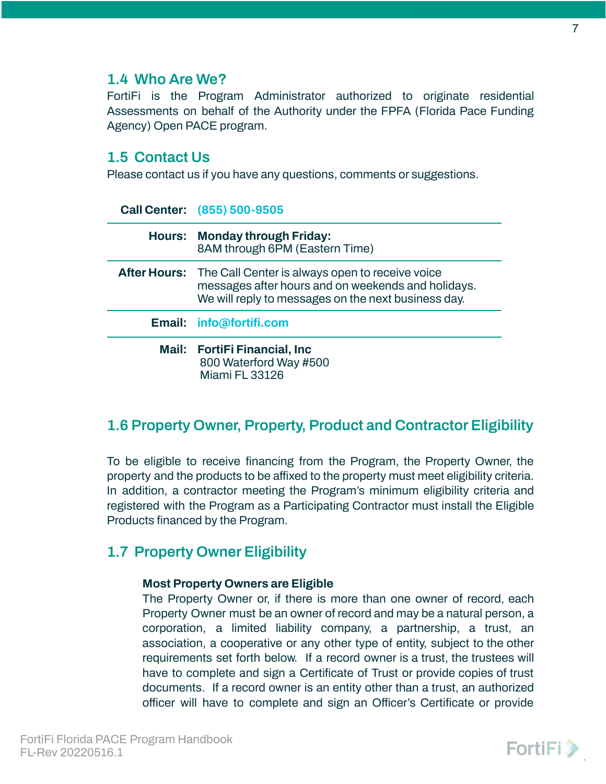### <span id="page-6-0"></span>**1.4 Who Are We?**

FortiFi is the Program Administrator authorized to originate residential Assessments on behalf of the Authority under the FPFA (Florida Pace Funding Agency) Open PACE program.

### <span id="page-6-1"></span>**1.5 Contact Us**

Please contact us if you have any questions, comments or suggestions.

| Call Center: (855) 500-9505                                                                                                                                                      |
|----------------------------------------------------------------------------------------------------------------------------------------------------------------------------------|
| <b>Hours: Monday through Friday:</b><br>8AM through 6PM (Eastern Time)                                                                                                           |
| <b>After Hours:</b> The Call Center is always open to receive voice<br>messages after hours and on weekends and holidays.<br>We will reply to messages on the next business day. |
| Email: info@fortifi.com                                                                                                                                                          |
| Mail: FortiFi Financial, Inc.<br>800 Waterford Way #500<br>Miami FL 33126                                                                                                        |

## <span id="page-6-2"></span>**1.6 Property Owner, Property, Product and Contractor Eligibility**

To be eligible to receive financing from the Program, the Property Owner, the property and the products to be affixed to the property must meet eligibility criteria. In addition, a contractor meeting the Program's minimum eligibility criteria and registered with the Program as a Participating Contractor must install the Eligible Products financed by the Program.

## <span id="page-6-4"></span><span id="page-6-3"></span>**1.7 Property Owner Eligibility**

### **Most Property Owners are Eligible**

The Property Owner or, if there is more than one owner of record, each Property Owner must be an owner of record and may be a natural person, a corporation, a limited liability company, a partnership, a trust, an association, a cooperative or any other type of entity, subject to the other requirements set forth below. If a record owner is a trust, the trustees will have to complete and sign a Certificate of Trust or provide copies of trust documents. If a record owner is an entity other than a trust, an authorized officer will have to complete and sign an Officer's Certificate or provide

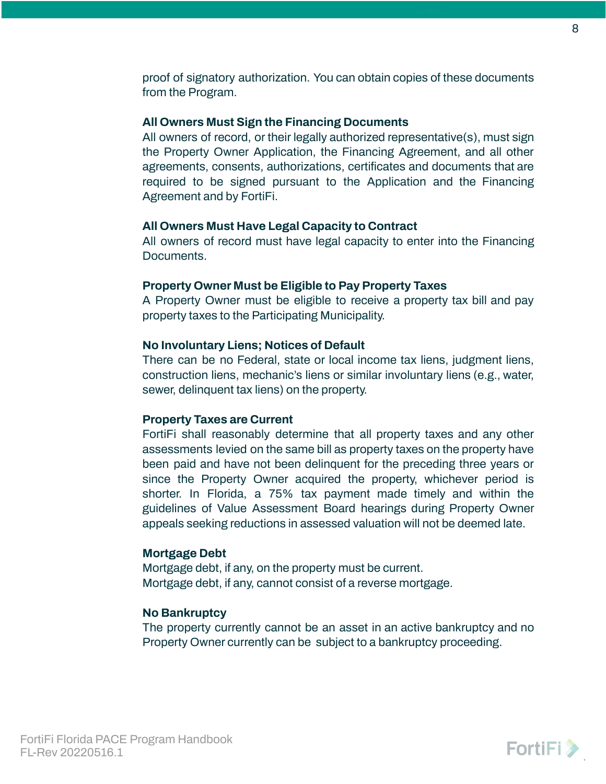proof of signatory authorization. You can obtain copies of these documents from the Program.

#### <span id="page-7-0"></span>**All Owners Must Sign the Financing Documents**

All owners of record, or their legally authorized representative(s), must sign the Property Owner Application, the Financing Agreement, and all other agreements, consents, authorizations, certificates and documents that are required to be signed pursuant to the Application and the Financing Agreement and by FortiFi.

#### <span id="page-7-1"></span>**All Owners Must Have Legal Capacity to Contract**

All owners of record must have legal capacity to enter into the Financing Documents.

#### <span id="page-7-2"></span>**Property Owner Must be Eligible to Pay Property Taxes**

A Property Owner must be eligible to receive a property tax bill and pay property taxes to the Participating Municipality.

#### <span id="page-7-3"></span>**No Involuntary Liens; Notices of Default**

There can be no Federal, state or local income tax liens, judgment liens, construction liens, mechanic's liens or similar involuntary liens (e.g., water, sewer, delinquent tax liens) on the property.

#### <span id="page-7-4"></span>**Property Taxes are Current**

FortiFi shall reasonably determine that all property taxes and any other assessments levied on the same bill as property taxes on the property have been paid and have not been delinquent for the preceding three years or since the Property Owner acquired the property, whichever period is shorter. In Florida, a 75% tax payment made timely and within the guidelines of Value Assessment Board hearings during Property Owner appeals seeking reductions in assessed valuation will not be deemed late.

#### <span id="page-7-5"></span>**Mortgage Debt**

Mortgage debt, if any, on the property must be current. Mortgage debt, if any, cannot consist of a reverse mortgage.

#### <span id="page-7-6"></span>**No Bankruptcy**

The property currently cannot be an asset in an active bankruptcy and no Property Owner currently can be subject to a bankruptcy proceeding.

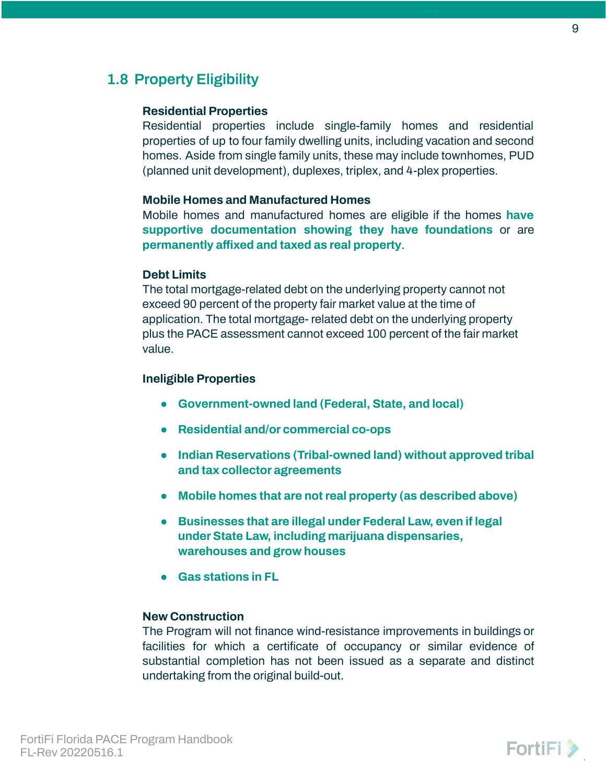### <span id="page-8-1"></span><span id="page-8-0"></span>**1.8 Property Eligibility**

#### **Residential Properties**

Residential properties include single-family homes and residential properties of up to four family dwelling units, including vacation and second homes. Aside from single family units, these may include townhomes, PUD (planned unit development), duplexes, triplex, and 4-plex properties.

#### <span id="page-8-2"></span>**Mobile Homes and Manufactured Homes**

Mobile homes and manufactured homes are eligible if the homes **have supportive documentation showing they have foundations** or are **permanently affixed and taxed as real property**.

#### <span id="page-8-3"></span>**Debt Limits**

The total mortgage-related debt on the underlying property cannot not exceed 90 percent of the property fair market value at the time of application. The total mortgage- related debt on the underlying property plus the PACE assessment cannot exceed 100 percent of the fair market value.

#### <span id="page-8-4"></span>**Ineligible Properties**

- **● Government-owned land (Federal, State, and local)**
- **● Residential and/or commercial co-ops**
- **● Indian Reservations (Tribal-owned land) without approved tribal and tax collector agreements**
- **● Mobile homes that are not real property (as described above)**
- **● Businesses that are illegal under Federal Law, even if legal under State Law, including marijuana dispensaries, warehouses and grow houses**
- **● Gas stations in FL**

#### <span id="page-8-5"></span>**New Construction**

The Program will not finance wind-resistance improvements in buildings or facilities for which a certificate of occupancy or similar evidence of substantial completion has not been issued as a separate and distinct undertaking from the original build-out.

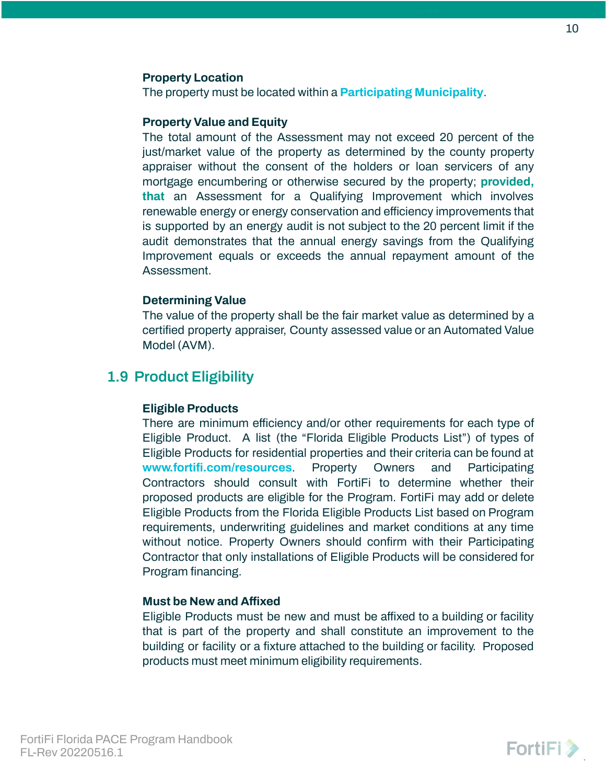#### <span id="page-9-0"></span>**Property Location**

The property must be located within a **[Participating](https://www.fortifi.com/communities#jump-to-florida) Municipality**.

#### <span id="page-9-1"></span>**Property Value and Equity**

The total amount of the Assessment may not exceed 20 percent of the just/market value of the property as determined by the county property appraiser without the consent of the holders or loan servicers of any mortgage encumbering or otherwise secured by the property; **provided, that** an Assessment for a Qualifying Improvement which involves renewable energy or energy conservation and efficiency improvements that is supported by an energy audit is not subject to the 20 percent limit if the audit demonstrates that the annual energy savings from the Qualifying Improvement equals or exceeds the annual repayment amount of the Assessment.

#### <span id="page-9-2"></span>**Determining Value**

The value of the property shall be the fair market value as determined by a certified property appraiser, County assessed value or an Automated Value Model (AVM).

### <span id="page-9-4"></span><span id="page-9-3"></span>**1.9 Product Eligibility**

#### **Eligible Products**

There are minimum efficiency and/or other requirements for each type of Eligible Product. A list (the "Florida Eligible Products List") of types of Eligible Products for residential properties and their criteria can be found at **[www.fortifi.com/resources](http://www.fortifi.com/resources)**. Property Owners and Participating Contractors should consult with FortiFi to determine whether their proposed products are eligible for the Program. FortiFi may add or delete Eligible Products from the Florida Eligible Products List based on Program requirements, underwriting guidelines and market conditions at any time without notice. Property Owners should confirm with their Participating Contractor that only installations of Eligible Products will be considered for Program financing.

#### <span id="page-9-5"></span>**Must be New and Affixed**

Eligible Products must be new and must be affixed to a building or facility that is part of the property and shall constitute an improvement to the building or facility or a fixture attached to the building or facility. Proposed products must meet minimum eligibility requirements.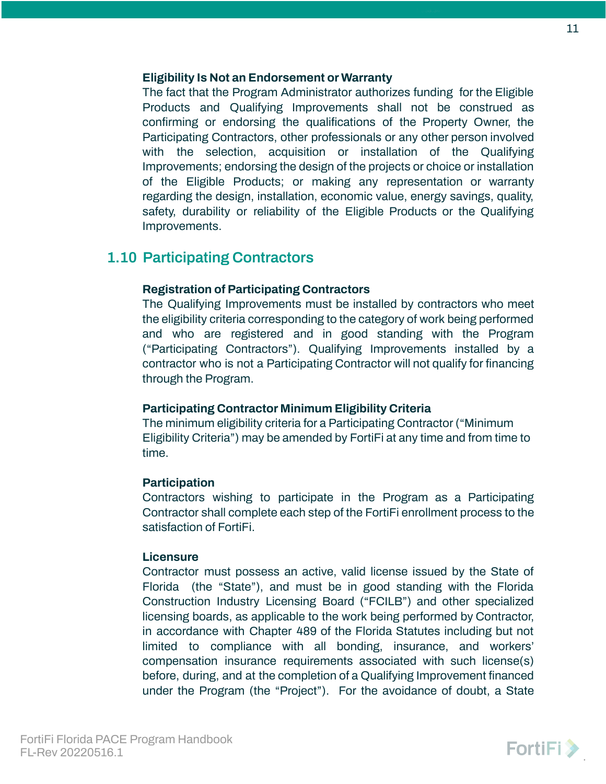#### <span id="page-10-0"></span>**Eligibility Is Not an Endorsement or Warranty**

The fact that the Program Administrator authorizes funding for the Eligible Products and Qualifying Improvements shall not be construed as confirming or endorsing the qualifications of the Property Owner, the Participating Contractors, other professionals or any other person involved with the selection, acquisition or installation of the Qualifying Improvements; endorsing the design of the projects or choice or installation of the Eligible Products; or making any representation or warranty regarding the design, installation, economic value, energy savings, quality, safety, durability or reliability of the Eligible Products or the Qualifying Improvements.

### <span id="page-10-2"></span><span id="page-10-1"></span>**1.10 Participating Contractors**

### **Registration of Participating Contractors**

The Qualifying Improvements must be installed by contractors who meet the eligibility criteria corresponding to the category of work being performed and who are registered and in good standing with the Program ("Participating Contractors"). Qualifying Improvements installed by a contractor who is not a Participating Contractor will not qualify for financing through the Program.

### <span id="page-10-3"></span>**Participating Contractor Minimum Eligibility Criteria**

The minimum eligibility criteria for a Participating Contractor ("Minimum Eligibility Criteria") may be amended by FortiFi at any time and from time to time.

#### <span id="page-10-4"></span>**Participation**

Contractors wishing to participate in the Program as a Participating Contractor shall complete each step of the FortiFi enrollment process to the satisfaction of FortiFi.

#### <span id="page-10-5"></span>**Licensure**

Contractor must possess an active, valid license issued by the State of Florida (the "State"), and must be in good standing with the Florida Construction Industry Licensing Board ("FCILB") and other specialized licensing boards, as applicable to the work being performed by Contractor, in accordance with Chapter 489 of the Florida Statutes including but not limited to compliance with all bonding, insurance, and workers' compensation insurance requirements associated with such license(s) before, during, and at the completion of a Qualifying Improvement financed under the Program (the "Project"). For the avoidance of doubt, a State

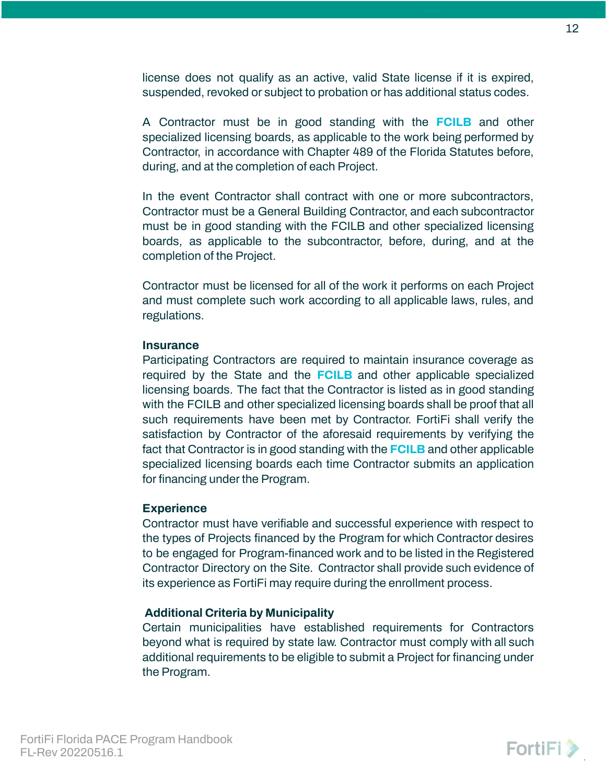license does not qualify as an active, valid State license if it is expired, suspended, revoked or subject to probation or has additional status codes.

A Contractor must be in good standing with the **[FCILB](http://www.myfloridalicense.com/DBPR/construction-industry/)** and other specialized licensing boards, as applicable to the work being performed by Contractor, in accordance with Chapter 489 of the Florida Statutes before, during, and at the completion of each Project.

In the event Contractor shall contract with one or more subcontractors, Contractor must be a General Building Contractor, and each subcontractor must be in good standing with the FCILB and other specialized licensing boards, as applicable to the subcontractor, before, during, and at the completion of the Project.

Contractor must be licensed for all of the work it performs on each Project and must complete such work according to all applicable laws, rules, and regulations.

#### <span id="page-11-0"></span>**Insurance**

Participating Contractors are required to maintain insurance coverage as required by the State and the **[FCILB](http://www.myfloridalicense.com/DBPR/construction-industry/)** and other applicable specialized licensing boards. The fact that the Contractor is listed as in good standing with the FCILB and other specialized licensing boards shall be proof that all such requirements have been met by Contractor. FortiFi shall verify the satisfaction by Contractor of the aforesaid requirements by verifying the fact that Contractor is in good standing with the **[FCILB](http://www.myfloridalicense.com/DBPR/construction-industry/)** and other applicable specialized licensing boards each time Contractor submits an application for financing under the Program.

#### <span id="page-11-1"></span>**Experience**

Contractor must have verifiable and successful experience with respect to the types of Projects financed by the Program for which Contractor desires to be engaged for Program-financed work and to be listed in the Registered Contractor Directory on the Site. Contractor shall provide such evidence of its experience as FortiFi may require during the enrollment process.

#### <span id="page-11-2"></span>**Additional Criteria by Municipality**

Certain municipalities have established requirements for Contractors beyond what is required by state law. Contractor must comply with all such additional requirements to be eligible to submit a Project for financing under the Program.

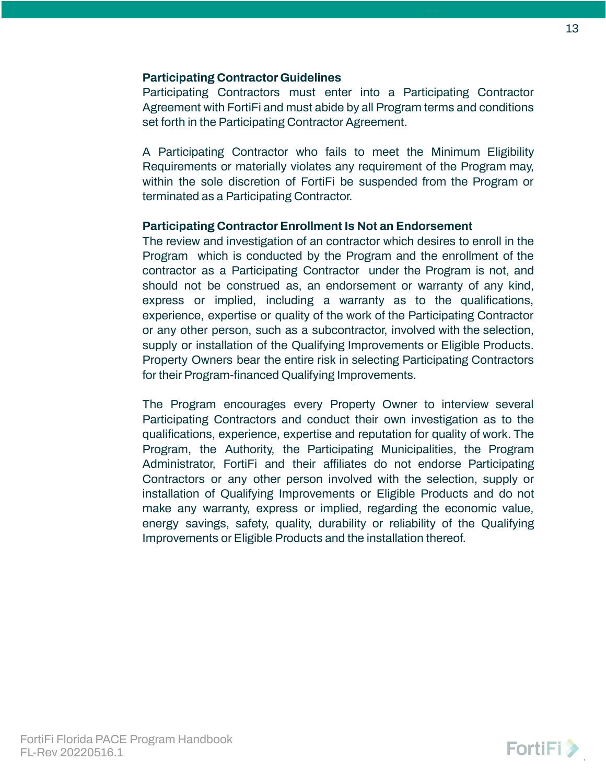### <span id="page-12-0"></span>**Participating Contractor Guidelines**

Participating Contractors must enter into a Participating Contractor Agreement with FortiFi and must abide by all Program terms and conditions set forth in the Participating Contractor Agreement.

A Participating Contractor who fails to meet the Minimum Eligibility Requirements or materially violates any requirement of the Program may, within the sole discretion of FortiFi be suspended from the Program or terminated as a Participating Contractor.

#### <span id="page-12-1"></span>**Participating Contractor Enrollment Is Not an Endorsement**

The review and investigation of an contractor which desires to enroll in the Program which is conducted by the Program and the enrollment of the contractor as a Participating Contractor under the Program is not, and should not be construed as, an endorsement or warranty of any kind, express or implied, including a warranty as to the qualifications, experience, expertise or quality of the work of the Participating Contractor or any other person, such as a subcontractor, involved with the selection, supply or installation of the Qualifying Improvements or Eligible Products. Property Owners bear the entire risk in selecting Participating Contractors for their Program-financed Qualifying Improvements.

The Program encourages every Property Owner to interview several Participating Contractors and conduct their own investigation as to the qualifications, experience, expertise and reputation for quality of work. The Program, the Authority, the Participating Municipalities, the Program Administrator, FortiFi and their affiliates do not endorse Participating Contractors or any other person involved with the selection, supply or installation of Qualifying Improvements or Eligible Products and do not make any warranty, express or implied, regarding the economic value, energy savings, safety, quality, durability or reliability of the Qualifying Improvements or Eligible Products and the installation thereof.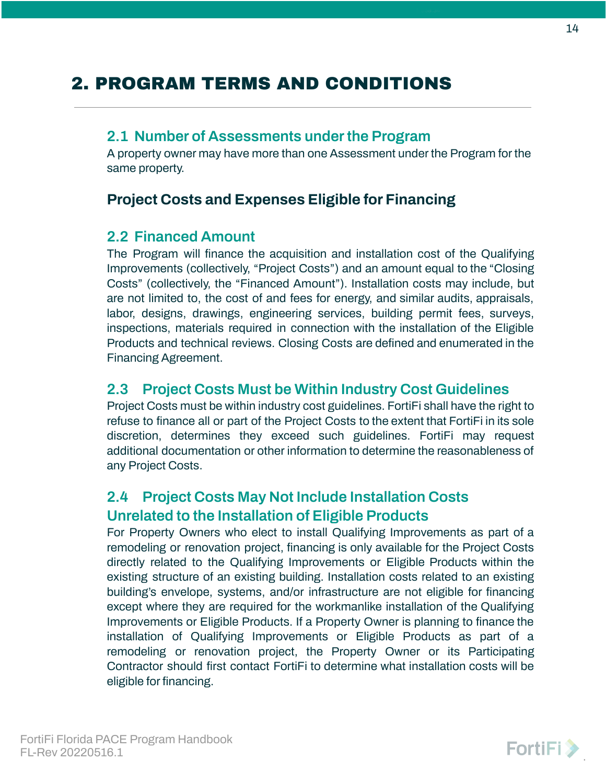# <span id="page-13-0"></span>2. PROGRAM TERMS AND CONDITIONS

### <span id="page-13-1"></span>**2.1 Number of Assessments under the Program**

A property owner may have more than one Assessment under the Program for the same property.

### **Project Costs and Expenses Eligible for Financing**

### <span id="page-13-2"></span>**2.2 Financed Amount**

The Program will finance the acquisition and installation cost of the Qualifying Improvements (collectively, "Project Costs") and an amount equal to the "Closing Costs" (collectively, the "Financed Amount"). Installation costs may include, but are not limited to, the cost of and fees for energy, and similar audits, appraisals, labor, designs, drawings, engineering services, building permit fees, surveys, inspections, materials required in connection with the installation of the Eligible Products and technical reviews. Closing Costs are defined and enumerated in the Financing Agreement.

### <span id="page-13-3"></span>**2.3 Project Costs Must be Within Industry Cost Guidelines**

Project Costs must be within industry cost guidelines. FortiFi shall have the right to refuse to finance all or part of the Project Costs to the extent that FortiFi in its sole discretion, determines they exceed such guidelines. FortiFi may request additional documentation or other information to determine the reasonableness of any Project Costs.

## <span id="page-13-4"></span>**2.4 Project Costs May Not Include Installation Costs Unrelated to the Installation of Eligible Products**

For Property Owners who elect to install Qualifying Improvements as part of a remodeling or renovation project, financing is only available for the Project Costs directly related to the Qualifying Improvements or Eligible Products within the existing structure of an existing building. Installation costs related to an existing building's envelope, systems, and/or infrastructure are not eligible for financing except where they are required for the workmanlike installation of the Qualifying Improvements or Eligible Products. If a Property Owner is planning to finance the installation of Qualifying Improvements or Eligible Products as part of a remodeling or renovation project, the Property Owner or its Participating Contractor should first contact FortiFi to determine what installation costs will be eligible for financing.

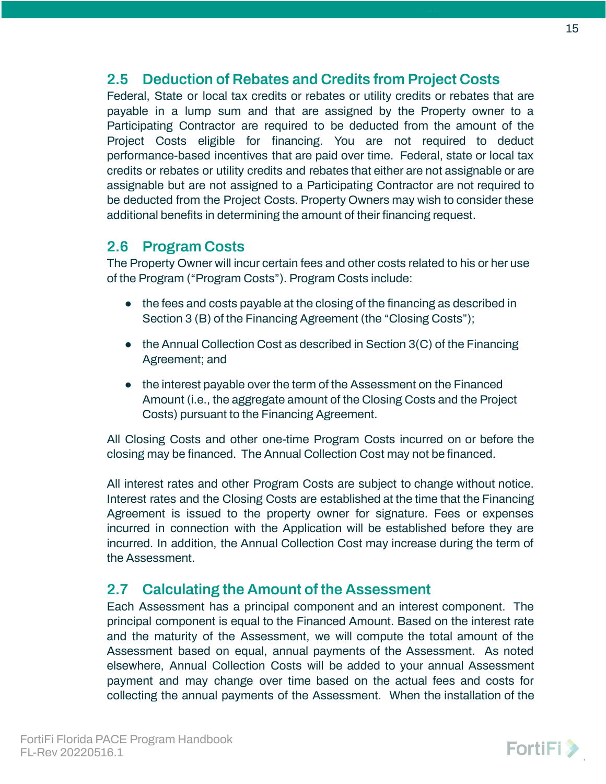### <span id="page-14-0"></span>**2.5 Deduction of Rebates and Credits from Project Costs**

Federal, State or local tax credits or rebates or utility credits or rebates that are payable in a lump sum and that are assigned by the Property owner to a Participating Contractor are required to be deducted from the amount of the Project Costs eligible for financing. You are not required to deduct performance-based incentives that are paid over time. Federal, state or local tax credits or rebates or utility credits and rebates that either are not assignable or are assignable but are not assigned to a Participating Contractor are not required to be deducted from the Project Costs. Property Owners may wish to consider these additional benefits in determining the amount of their financing request.

### <span id="page-14-1"></span>**2.6 Program Costs**

The Property Owner will incur certain fees and other costs related to his or her use of the Program ("Program Costs"). Program Costs include:

- the fees and costs payable at the closing of the financing as described in Section 3 (B) of the Financing Agreement (the "Closing Costs");
- $\bullet$  the Annual Collection Cost as described in Section 3(C) of the Financing Agreement; and
- the interest payable over the term of the Assessment on the Financed Amount (i.e., the aggregate amount of the Closing Costs and the Project Costs) pursuant to the Financing Agreement.

All Closing Costs and other one-time Program Costs incurred on or before the closing may be financed. The Annual Collection Cost may not be financed.

All interest rates and other Program Costs are subject to change without notice. Interest rates and the Closing Costs are established at the time that the Financing Agreement is issued to the property owner for signature. Fees or expenses incurred in connection with the Application will be established before they are incurred. In addition, the Annual Collection Cost may increase during the term of the Assessment.

### <span id="page-14-2"></span>**2.7 Calculating the Amount of the Assessment**

Each Assessment has a principal component and an interest component. The principal component is equal to the Financed Amount. Based on the interest rate and the maturity of the Assessment, we will compute the total amount of the Assessment based on equal, annual payments of the Assessment. As noted elsewhere, Annual Collection Costs will be added to your annual Assessment payment and may change over time based on the actual fees and costs for collecting the annual payments of the Assessment. When the installation of the

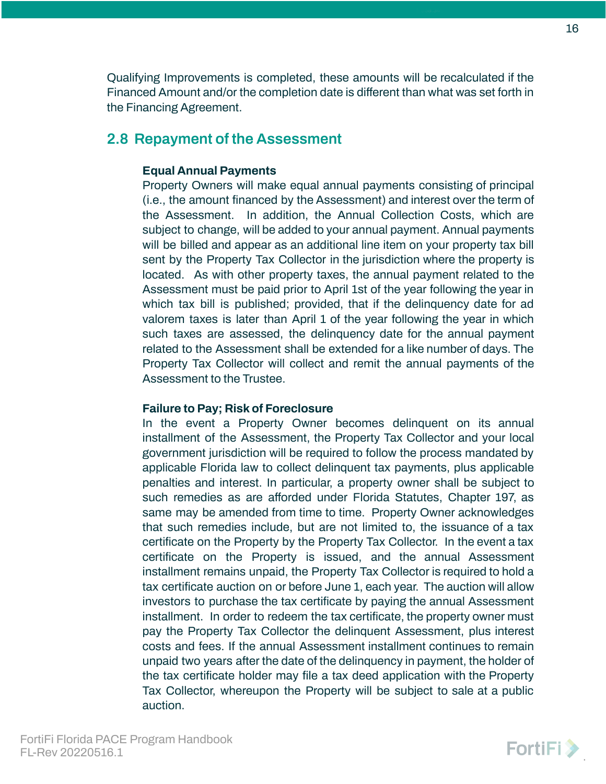Qualifying Improvements is completed, these amounts will be recalculated if the Financed Amount and/or the completion date is different than what was set forth in the Financing Agreement.

### <span id="page-15-1"></span><span id="page-15-0"></span>**2.8 Repayment of the Assessment**

### **Equal Annual Payments**

Property Owners will make equal annual payments consisting of principal (i.e., the amount financed by the Assessment) and interest over the term of the Assessment. In addition, the Annual Collection Costs, which are subject to change, will be added to your annual payment. Annual payments will be billed and appear as an additional line item on your property tax bill sent by the Property Tax Collector in the jurisdiction where the property is located. As with other property taxes, the annual payment related to the Assessment must be paid prior to April 1st of the year following the year in which tax bill is published; provided, that if the delinquency date for ad valorem taxes is later than April 1 of the year following the year in which such taxes are assessed, the delinquency date for the annual payment related to the Assessment shall be extended for a like number of days. The Property Tax Collector will collect and remit the annual payments of the Assessment to the Trustee.

### <span id="page-15-2"></span>**Failure to Pay; Risk of Foreclosure**

In the event a Property Owner becomes delinquent on its annual installment of the Assessment, the Property Tax Collector and your local government jurisdiction will be required to follow the process mandated by applicable Florida law to collect delinquent tax payments, plus applicable penalties and interest. In particular, a property owner shall be subject to such remedies as are afforded under Florida Statutes, Chapter 197, as same may be amended from time to time. Property Owner acknowledges that such remedies include, but are not limited to, the issuance of a tax certificate on the Property by the Property Tax Collector. In the event a tax certificate on the Property is issued, and the annual Assessment installment remains unpaid, the Property Tax Collector is required to hold a tax certificate auction on or before June 1, each year. The auction will allow investors to purchase the tax certificate by paying the annual Assessment installment. In order to redeem the tax certificate, the property owner must pay the Property Tax Collector the delinquent Assessment, plus interest costs and fees. If the annual Assessment installment continues to remain unpaid two years after the date of the delinquency in payment, the holder of the tax certificate holder may file a tax deed application with the Property Tax Collector, whereupon the Property will be subject to sale at a public auction.

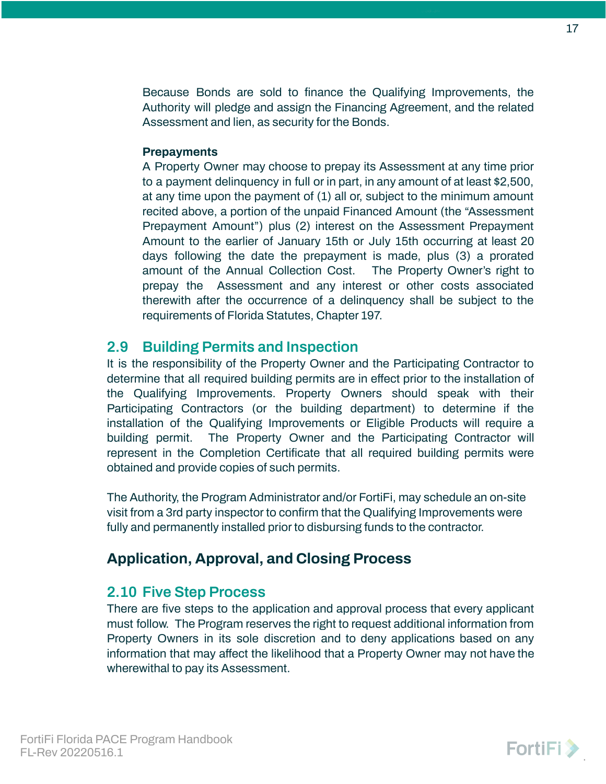Because Bonds are sold to finance the Qualifying Improvements, the Authority will pledge and assign the Financing Agreement, and the related Assessment and lien, as security for the Bonds.

### <span id="page-16-0"></span>**Prepayments**

A Property Owner may choose to prepay its Assessment at any time prior to a payment delinquency in full or in part, in any amount of at least \$2,500, at any time upon the payment of (1) all or, subject to the minimum amount recited above, a portion of the unpaid Financed Amount (the "Assessment Prepayment Amount") plus (2) interest on the Assessment Prepayment Amount to the earlier of January 15th or July 15th occurring at least 20 days following the date the prepayment is made, plus (3) a prorated amount of the Annual Collection Cost. The Property Owner's right to prepay the Assessment and any interest or other costs associated therewith after the occurrence of a delinquency shall be subject to the requirements of Florida Statutes, Chapter 197.

### <span id="page-16-1"></span>**2.9 Building Permits and Inspection**

It is the responsibility of the Property Owner and the Participating Contractor to determine that all required building permits are in effect prior to the installation of the Qualifying Improvements. Property Owners should speak with their Participating Contractors (or the building department) to determine if the installation of the Qualifying Improvements or Eligible Products will require a building permit. The Property Owner and the Participating Contractor will represent in the Completion Certificate that all required building permits were obtained and provide copies of such permits.

The Authority, the Program Administrator and/or FortiFi, may schedule an on-site visit from a 3rd party inspector to confirm that the Qualifying Improvements were fully and permanently installed prior to disbursing funds to the contractor.

## **Application, Approval, and Closing Process**

### <span id="page-16-2"></span>**2.10 Five Step Process**

There are five steps to the application and approval process that every applicant must follow. The Program reserves the right to request additional information from Property Owners in its sole discretion and to deny applications based on any information that may affect the likelihood that a Property Owner may not have the wherewithal to pay its Assessment.

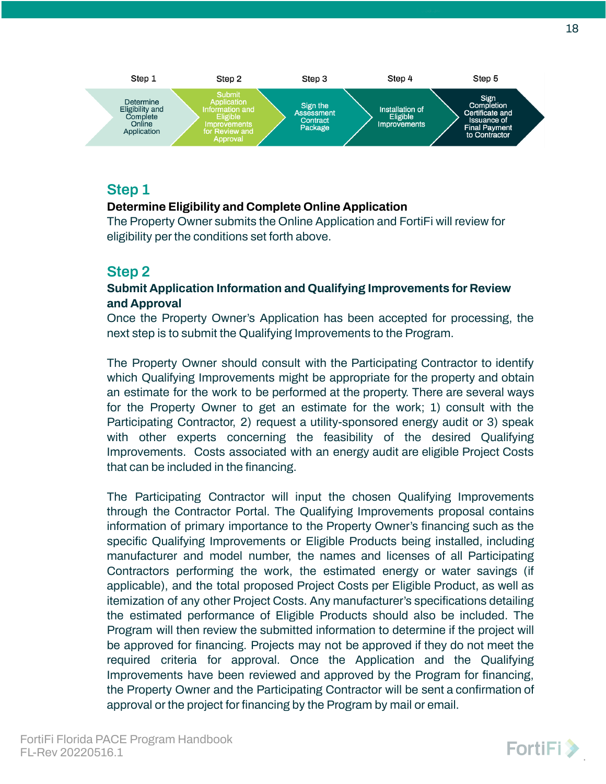

### **Step 1**

### **Determine Eligibility and Complete Online Application**

The Property Owner submits the Online Application and FortiFi will review for eligibility per the conditions set forth above.

### **Step 2**

### **Submit Application Information and Qualifying Improvements for Review and Approval**

Once the Property Owner's Application has been accepted for processing, the next step is to submit the Qualifying Improvements to the Program.

The Property Owner should consult with the Participating Contractor to identify which Qualifying Improvements might be appropriate for the property and obtain an estimate for the work to be performed at the property. There are several ways for the Property Owner to get an estimate for the work; 1) consult with the Participating Contractor, 2) request a utility-sponsored energy audit or 3) speak with other experts concerning the feasibility of the desired Qualifying Improvements. Costs associated with an energy audit are eligible Project Costs that can be included in the financing.

The Participating Contractor will input the chosen Qualifying Improvements through the Contractor Portal. The Qualifying Improvements proposal contains information of primary importance to the Property Owner's financing such as the specific Qualifying Improvements or Eligible Products being installed, including manufacturer and model number, the names and licenses of all Participating Contractors performing the work, the estimated energy or water savings (if applicable), and the total proposed Project Costs per Eligible Product, as well as itemization of any other Project Costs. Any manufacturer's specifications detailing the estimated performance of Eligible Products should also be included. The Program will then review the submitted information to determine if the project will be approved for financing. Projects may not be approved if they do not meet the required criteria for approval. Once the Application and the Qualifying Improvements have been reviewed and approved by the Program for financing, the Property Owner and the Participating Contractor will be sent a confirmation of approval or the project for financing by the Program by mail or email.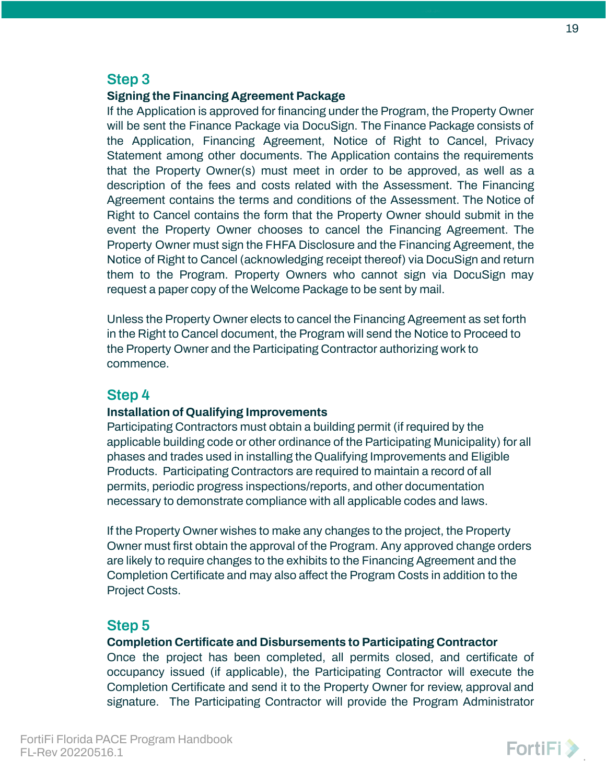### **Step 3**

### **Signing the Financing Agreement Package**

If the Application is approved for financing under the Program, the Property Owner will be sent the Finance Package via DocuSign. The Finance Package consists of the Application, Financing Agreement, Notice of Right to Cancel, Privacy Statement among other documents. The Application contains the requirements that the Property Owner(s) must meet in order to be approved, as well as a description of the fees and costs related with the Assessment. The Financing Agreement contains the terms and conditions of the Assessment. The Notice of Right to Cancel contains the form that the Property Owner should submit in the event the Property Owner chooses to cancel the Financing Agreement. The Property Owner must sign the FHFA Disclosure and the Financing Agreement, the Notice of Right to Cancel (acknowledging receipt thereof) via DocuSign and return them to the Program. Property Owners who cannot sign via DocuSign may request a paper copy of the Welcome Package to be sent by mail.

Unless the Property Owner elects to cancel the Financing Agreement as set forth in the Right to Cancel document, the Program will send the Notice to Proceed to the Property Owner and the Participating Contractor authorizing work to commence.

### **Step 4**

### **Installation of Qualifying Improvements**

Participating Contractors must obtain a building permit (if required by the applicable building code or other ordinance of the Participating Municipality) for all phases and trades used in installing the Qualifying Improvements and Eligible Products. Participating Contractors are required to maintain a record of all permits, periodic progress inspections/reports, and other documentation necessary to demonstrate compliance with all applicable codes and laws.

If the Property Owner wishes to make any changes to the project, the Property Owner must first obtain the approval of the Program. Any approved change orders are likely to require changes to the exhibits to the Financing Agreement and the Completion Certificate and may also affect the Program Costs in addition to the Project Costs.

### **Step 5**

### **Completion Certificate and Disbursements to Participating Contractor**

Once the project has been completed, all permits closed, and certificate of occupancy issued (if applicable), the Participating Contractor will execute the Completion Certificate and send it to the Property Owner for review, approval and signature. The Participating Contractor will provide the Program Administrator

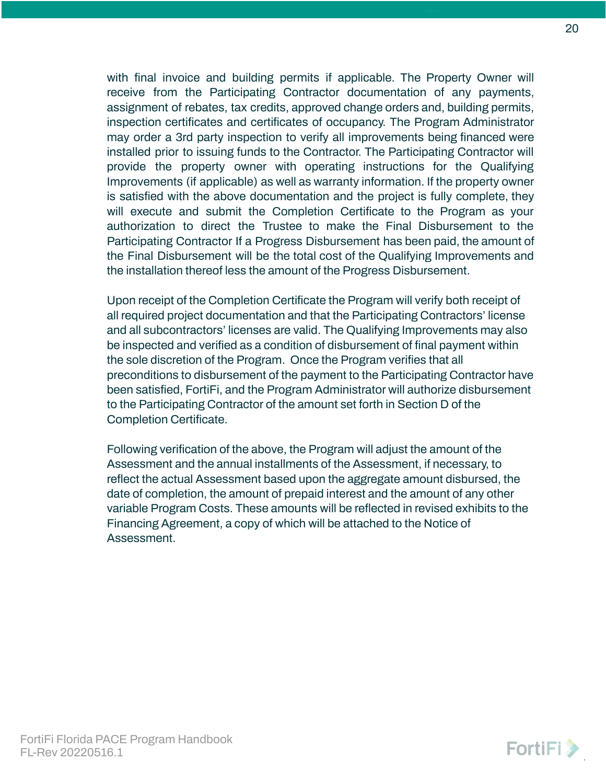with final invoice and building permits if applicable. The Property Owner will receive from the Participating Contractor documentation of any payments, assignment of rebates, tax credits, approved change orders and, building permits, inspection certificates and certificates of occupancy. The Program Administrator may order a 3rd party inspection to verify all improvements being financed were installed prior to issuing funds to the Contractor. The Participating Contractor will provide the property owner with operating instructions for the Qualifying Improvements (if applicable) as well as warranty information. If the property owner is satisfied with the above documentation and the project is fully complete, they will execute and submit the Completion Certificate to the Program as your authorization to direct the Trustee to make the Final Disbursement to the Participating Contractor If a Progress Disbursement has been paid, the amount of the Final Disbursement will be the total cost of the Qualifying Improvements and the installation thereof less the amount of the Progress Disbursement.

Upon receipt of the Completion Certificate the Program will verify both receipt of all required project documentation and that the Participating Contractors' license and all subcontractors' licenses are valid. The Qualifying Improvements may also be inspected and verified as a condition of disbursement of final payment within the sole discretion of the Program. Once the Program verifies that all preconditions to disbursement of the payment to the Participating Contractor have been satisfied, FortiFi, and the Program Administrator will authorize disbursement to the Participating Contractor of the amount set forth in Section D of the Completion Certificate.

Following verification of the above, the Program will adjust the amount of the Assessment and the annual installments of the Assessment, if necessary, to reflect the actual Assessment based upon the aggregate amount disbursed, the date of completion, the amount of prepaid interest and the amount of any other variable Program Costs. These amounts will be reflected in revised exhibits to the Financing Agreement, a copy of which will be attached to the Notice of Assessment.

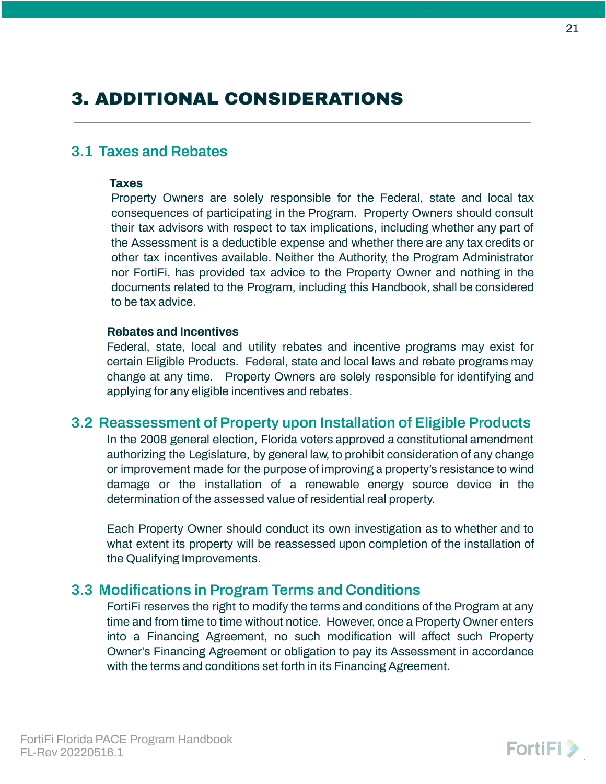# <span id="page-20-0"></span>3. ADDITIONAL CONSIDERATIONS

### <span id="page-20-1"></span>**3.1 Taxes and Rebates**

#### **Taxes**

Property Owners are solely responsible for the Federal, state and local tax consequences of participating in the Program. Property Owners should consult their tax advisors with respect to tax implications, including whether any part of the Assessment is a deductible expense and whether there are any tax credits or other tax incentives available. Neither the Authority, the Program Administrator nor FortiFi, has provided tax advice to the Property Owner and nothing in the documents related to the Program, including this Handbook, shall be considered to be tax advice.

#### **Rebates and Incentives**

Federal, state, local and utility rebates and incentive programs may exist for certain Eligible Products. Federal, state and local laws and rebate programs may change at any time. Property Owners are solely responsible for identifying and applying for any eligible incentives and rebates.

### <span id="page-20-2"></span>**3.2 Reassessment of Property upon Installation of Eligible Products**

In the 2008 general election, Florida voters approved a constitutional amendment authorizing the Legislature, by general law, to prohibit consideration of any change or improvement made for the purpose of improving a property's resistance to wind damage or the installation of a renewable energy source device in the determination of the assessed value of residential real property.

Each Property Owner should conduct its own investigation as to whether and to what extent its property will be reassessed upon completion of the installation of the Qualifying Improvements.

### <span id="page-20-3"></span>**3.3 Modifications in Program Terms and Conditions**

FortiFi reserves the right to modify the terms and conditions of the Program at any time and from time to time without notice. However, once a Property Owner enters into a Financing Agreement, no such modification will affect such Property Owner's Financing Agreement or obligation to pay its Assessment in accordance with the terms and conditions set forth in its Financing Agreement.

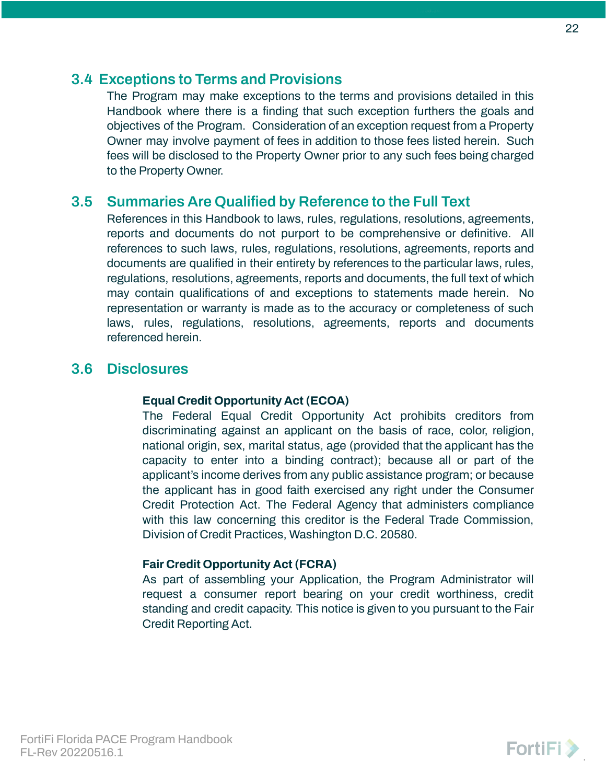### <span id="page-21-0"></span>**3.4 Exceptions to Terms and Provisions**

The Program may make exceptions to the terms and provisions detailed in this Handbook where there is a finding that such exception furthers the goals and objectives of the Program. Consideration of an exception request from a Property Owner may involve payment of fees in addition to those fees listed herein. Such fees will be disclosed to the Property Owner prior to any such fees being charged to the Property Owner.

### <span id="page-21-1"></span>**3.5 Summaries Are Qualified by Reference to the Full Text**

References in this Handbook to laws, rules, regulations, resolutions, agreements, reports and documents do not purport to be comprehensive or definitive. All references to such laws, rules, regulations, resolutions, agreements, reports and documents are qualified in their entirety by references to the particular laws, rules, regulations, resolutions, agreements, reports and documents, the full text of which may contain qualifications of and exceptions to statements made herein. No representation or warranty is made as to the accuracy or completeness of such laws, rules, regulations, resolutions, agreements, reports and documents referenced herein.

### <span id="page-21-2"></span>**3.6 Disclosures**

### **Equal Credit Opportunity Act (ECOA)**

The Federal Equal Credit Opportunity Act prohibits creditors from discriminating against an applicant on the basis of race, color, religion, national origin, sex, marital status, age (provided that the applicant has the capacity to enter into a binding contract); because all or part of the applicant's income derives from any public assistance program; or because the applicant has in good faith exercised any right under the Consumer Credit Protection Act. The Federal Agency that administers compliance with this law concerning this creditor is the Federal Trade Commission, Division of Credit Practices, Washington D.C. 20580.

### **Fair Credit Opportunity Act (FCRA)**

As part of assembling your Application, the Program Administrator will request a consumer report bearing on your credit worthiness, credit standing and credit capacity. This notice is given to you pursuant to the Fair Credit Reporting Act.

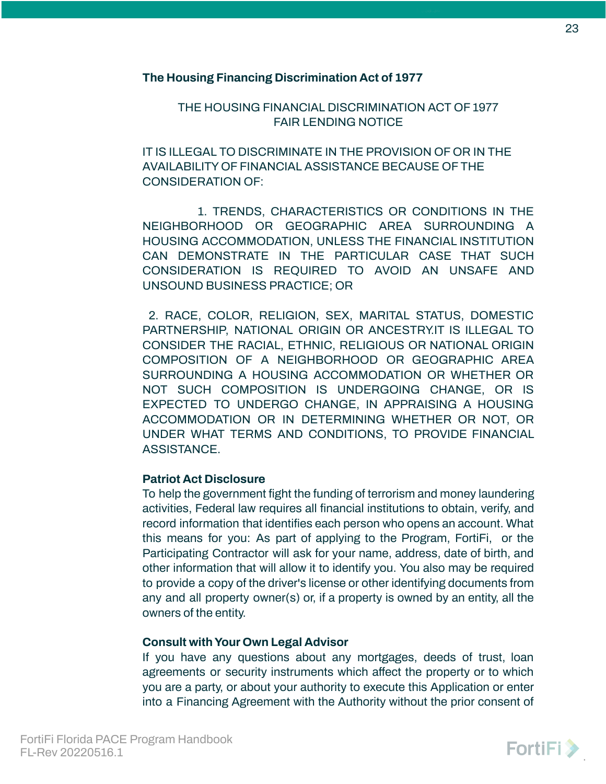### **The Housing Financing Discrimination Act of 1977**

THE HOUSING FINANCIAL DISCRIMINATION ACT OF 1977 FAIR LENDING NOTICE

IT IS ILLEGAL TO DISCRIMINATE IN THE PROVISION OF OR IN THE AVAILABILITY OF FINANCIAL ASSISTANCE BECAUSE OF THE CONSIDERATION OF:

1. TRENDS, CHARACTERISTICS OR CONDITIONS IN THE NEIGHBORHOOD OR GEOGRAPHIC AREA SURROUNDING A HOUSING ACCOMMODATION, UNLESS THE FINANCIAL INSTITUTION CAN DEMONSTRATE IN THE PARTICULAR CASE THAT SUCH CONSIDERATION IS REQUIRED TO AVOID AN UNSAFE AND UNSOUND BUSINESS PRACTICE; OR

2. RACE, COLOR, RELIGION, SEX, MARITAL STATUS, DOMESTIC PARTNERSHIP, NATIONAL ORIGIN OR ANCESTRY.IT IS ILLEGAL TO CONSIDER THE RACIAL, ETHNIC, RELIGIOUS OR NATIONAL ORIGIN COMPOSITION OF A NEIGHBORHOOD OR GEOGRAPHIC AREA SURROUNDING A HOUSING ACCOMMODATION OR WHETHER OR NOT SUCH COMPOSITION IS UNDERGOING CHANGE, OR IS EXPECTED TO UNDERGO CHANGE, IN APPRAISING A HOUSING ACCOMMODATION OR IN DETERMINING WHETHER OR NOT, OR UNDER WHAT TERMS AND CONDITIONS, TO PROVIDE FINANCIAL ASSISTANCE.

### **Patriot Act Disclosure**

To help the government fight the funding of terrorism and money laundering activities, Federal law requires all financial institutions to obtain, verify, and record information that identifies each person who opens an account. What this means for you: As part of applying to the Program, FortiFi, or the Participating Contractor will ask for your name, address, date of birth, and other information that will allow it to identify you. You also may be required to provide a copy of the driver's license or other identifying documents from any and all property owner(s) or, if a property is owned by an entity, all the owners of the entity.

### **Consult withYour Own Legal Advisor**

If you have any questions about any mortgages, deeds of trust, loan agreements or security instruments which affect the property or to which you are a party, or about your authority to execute this Application or enter into a Financing Agreement with the Authority without the prior consent of

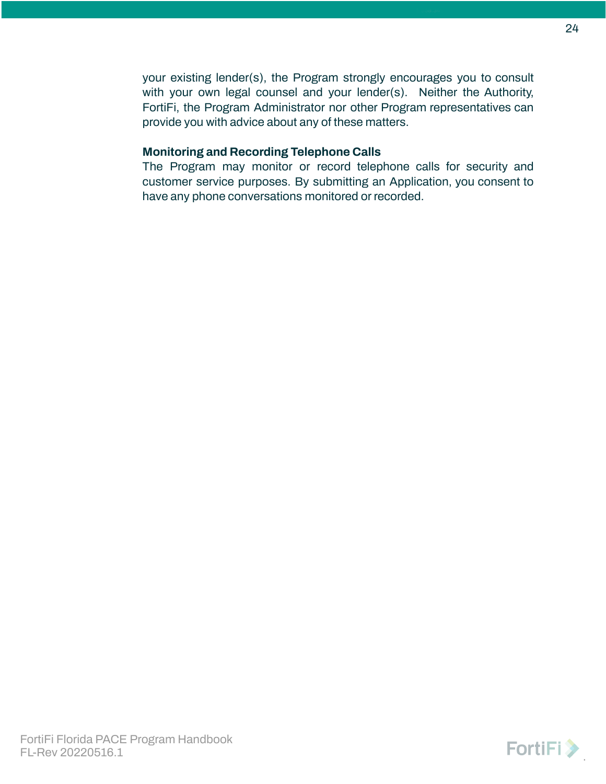your existing lender(s), the Program strongly encourages you to consult with your own legal counsel and your lender(s). Neither the Authority, FortiFi, the Program Administrator nor other Program representatives can provide you with advice about any of these matters.

#### **Monitoring and Recording Telephone Calls**

The Program may monitor or record telephone calls for security and customer service purposes. By submitting an Application, you consent to have any phone conversations monitored or recorded.